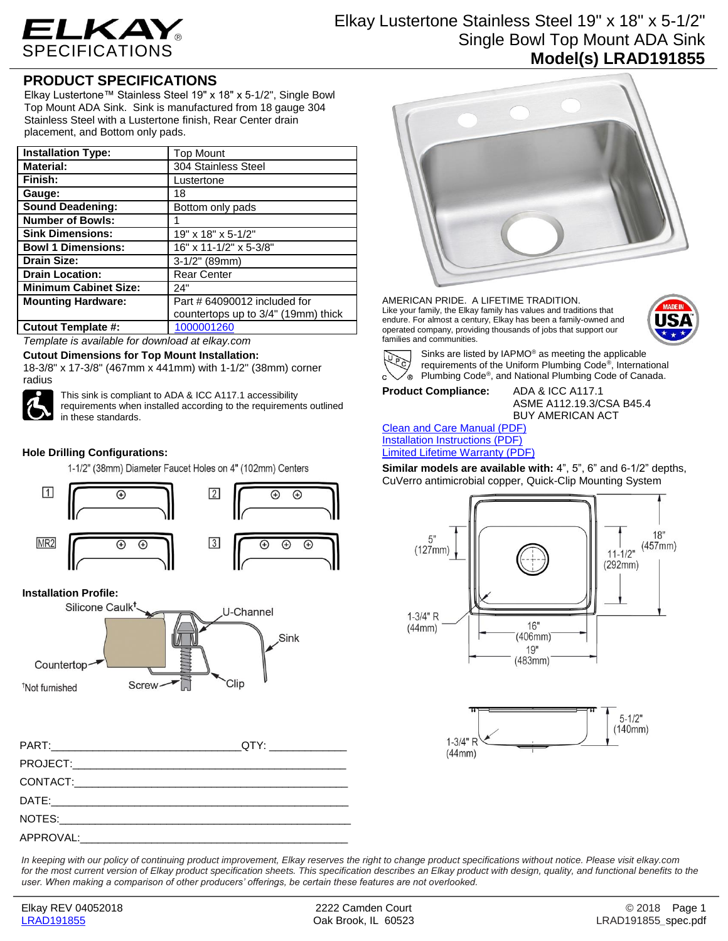

# Elkay Lustertone Stainless Steel 19" x 18" x 5-1/2" Single Bowl Top Mount ADA Sink **Model(s) LRAD191855**

## **PRODUCT SPECIFICATIONS**

Elkay Lustertone™ Stainless Steel 19" x 18" x 5-1/2", Single Bowl Top Mount ADA Sink. Sink is manufactured from 18 gauge 304 Stainless Steel with a Lustertone finish, Rear Center drain placement, and Bottom only pads.

| <b>Installation Type:</b>    | <b>Top Mount</b>                    |
|------------------------------|-------------------------------------|
| <b>Material:</b>             | 304 Stainless Steel                 |
| Finish:                      | Lustertone                          |
| Gauge:                       | 18                                  |
| <b>Sound Deadening:</b>      | Bottom only pads                    |
| <b>Number of Bowls:</b>      |                                     |
| <b>Sink Dimensions:</b>      | $19" \times 18" \times 5 - 1/2"$    |
| <b>Bowl 1 Dimensions:</b>    | 16" x 11-1/2" x 5-3/8"              |
| <b>Drain Size:</b>           | $3-1/2$ " (89mm)                    |
| <b>Drain Location:</b>       | <b>Rear Center</b>                  |
| <b>Minimum Cabinet Size:</b> | 24"                                 |
| <b>Mounting Hardware:</b>    | Part # 64090012 included for        |
|                              | countertops up to 3/4" (19mm) thick |
| <b>Cutout Template #:</b>    | 1000001260                          |

*Template is available for download at elkay.com*

#### **Cutout Dimensions for Top Mount Installation:**

18-3/8" x 17-3/8" (467mm x 441mm) with 1-1/2" (38mm) corner radius



This sink is compliant to ADA & ICC A117.1 accessibility requirements when installed according to the requirements outlined in these standards.

## **Hole Drilling Configurations:**

1-1/2" (38mm) Diameter Faucet Holes on 4" (102mm) Centers



### **Installation Profile:**



| PART: QTY:          |  |
|---------------------|--|
|                     |  |
|                     |  |
|                     |  |
|                     |  |
| APPROVAL: APPROVAL: |  |



AMERICAN PRIDE. A LIFETIME TRADITION. Like your family, the Elkay family has values and traditions that endure. For almost a century, Elkay has been a family-owned and operated company, providing thousands of jobs that support our families and communities.





Sinks are listed by IAPMO® as meeting the applicable requirements of the Uniform Plumbing Code® , International Plumbing Code® , and National Plumbing Code of Canada.

**Product Compliance:** ADA & ICC A117.1

ASME A112.19.3/CSA B45.4 BUY AMERICAN ACT

#### [Clean and Care Manual \(PDF\)](http://www.elkay.com/wcsstore/lkdocs/care-cleaning-install-warranty-sheets/residential%20and%20commercial%20care%20%20cleaning.pdf) [Installation Instructions \(PDF\)](http://www.elkay.com/wcsstore/lkdocs/care-cleaning-install-warranty-sheets/74180147.pdf) [Limited Lifetime Warranty](http://www.elkay.com/wcsstore/lkdocs/care-cleaning-install-warranty-sheets/residential%20sinks%20warranty.pdf) (PDF)

**Similar models are available with:** 4", 5", 6" and 6-1/2" depths, CuVerro antimicrobial copper, Quick-Clip Mounting System





*In keeping with our policy of continuing product improvement, Elkay reserves the right to change product specifications without notice. Please visit elkay.com*  for the most current version of Elkay product specification sheets. This specification describes an Elkay product with design, quality, and functional benefits to the *user. When making a comparison of other producers' offerings, be certain these features are not overlooked.*